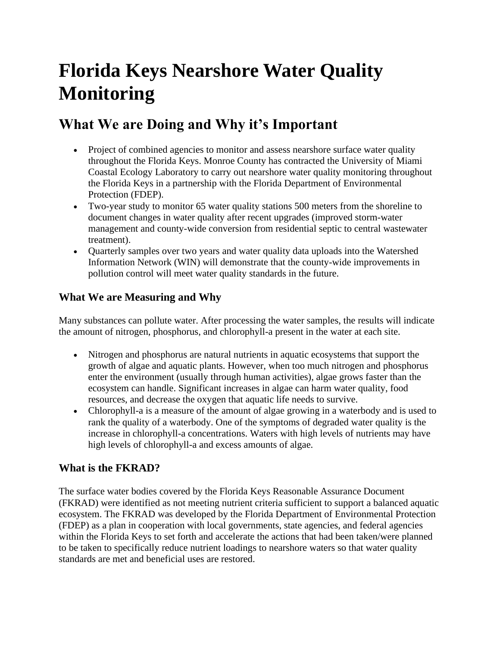# **Florida Keys Nearshore Water Quality Monitoring**

## **What We are Doing and Why it's Important**

- Project of combined agencies to monitor and assess nearshore surface water quality throughout the Florida Keys. Monroe County has contracted the University of Miami Coastal Ecology Laboratory to carry out nearshore water quality monitoring throughout the Florida Keys in a partnership with the Florida Department of Environmental Protection (FDEP).
- Two-year study to monitor 65 water quality stations 500 meters from the shoreline to document changes in water quality after recent upgrades (improved storm-water management and county-wide conversion from residential septic to central wastewater treatment).
- Quarterly samples over two years and water quality data uploads into the Watershed Information Network (WIN) will demonstrate that the county-wide improvements in pollution control will meet water quality standards in the future.

### **What We are Measuring and Why**

Many substances can pollute water. After processing the water samples, the results will indicate the amount of nitrogen, phosphorus, and chlorophyll-a present in the water at each site.

- Nitrogen and phosphorus are natural nutrients in aquatic ecosystems that support the growth of algae and aquatic plants. However, when too much nitrogen and phosphorus enter the environment (usually through human activities), algae grows faster than the ecosystem can handle. Significant increases in algae can harm water quality, food resources, and decrease the oxygen that aquatic life needs to survive.
- Chlorophyll-a is a measure of the amount of algae growing in a waterbody and is used to rank the quality of a waterbody. One of the symptoms of degraded water quality is the increase in chlorophyll-a concentrations. Waters with high levels of nutrients may have high levels of chlorophyll-a and excess amounts of algae.

#### **What is the FKRAD?**

The surface water bodies covered by the Florida Keys Reasonable Assurance Document (FKRAD) were identified as not meeting nutrient criteria sufficient to support a balanced aquatic ecosystem. The FKRAD was developed by the Florida Department of Environmental Protection (FDEP) as a plan in cooperation with local governments, state agencies, and federal agencies within the Florida Keys to set forth and accelerate the actions that had been taken/were planned to be taken to specifically reduce nutrient loadings to nearshore waters so that water quality standards are met and beneficial uses are restored.